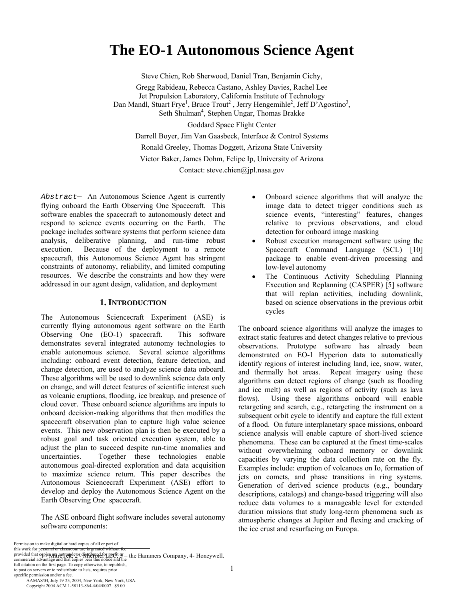# **The EO-1 Autonomous Science Agent**

Steve Chien, Rob Sherwood, Daniel Tran, Benjamin Cichy,

Gregg Rabideau, Rebecca Castano, Ashley Davies, Rachel Lee Jet Propulsion Laboratory, California Institute of Technology Dan Mandl, Stuart Frye<sup>1</sup>, Bruce Trout<sup>2</sup>, Jerry Hengemihle<sup>2</sup>, Jeff D'Agostino<sup>3</sup>, Seth Shulman<sup>4</sup>, Stephen Ungar, Thomas Brakke

Goddard Space Flight Center

Darrell Boyer, Jim Van Gaasbeck, Interface & Control Systems

Ronald Greeley, Thomas Doggett, Arizona State University

Victor Baker, James Dohm, Felipe Ip, University of Arizona

Contact: steve.chien@jpl.nasa.gov

*Abstract*— An Autonomous Science Agent is currently flying onboard the Earth Observing One Spacecraft. This software enables the spacecraft to autonomously detect and respond to science events occurring on the Earth. The package includes software systems that perform science data analysis, deliberative planning, and run-time robust execution. Because of the deployment to a remote spacecraft, this Autonomous Science Agent has stringent constraints of autonomy, reliability, and limited computing resources. We describe the constraints and how they were addressed in our agent design, validation, and deployment

## **1. INTRODUCTION**

The Autonomous Sciencecraft Experiment (ASE) is currently flying autonomous agent software on the Earth Observing One (EO-1) spacecraft. This software demonstrates several integrated autonomy technologies to enable autonomous science. Several science algorithms including: onboard event detection, feature detection, and change detection, are used to analyze science data onboard. These algorithms will be used to downlink science data only on change, and will detect features of scientific interest such as volcanic eruptions, flooding, ice breakup, and presence of cloud cover. These onboard science algorithms are inputs to onboard decision-making algorithms that then modifies the spacecraft observation plan to capture high value science events. This new observation plan is then be executed by a robust goal and task oriented execution system, able to adjust the plan to succeed despite run-time anomalies and uncertainties. Together these technologies enable autonomous goal-directed exploration and data acquisition to maximize science return. This paper describes the Autonomous Sciencecraft Experiment (ASE) effort to develop and deploy the Autonomous Science Agent on the Earth Observing One spacecraft.

The ASE onboard flight software includes several autonomy software components:

- Onboard science algorithms that will analyze the image data to detect trigger conditions such as science events, "interesting" features, changes relative to previous observations, and cloud detection for onboard image masking
- Robust execution management software using the Spacecraft Command Language (SCL) [10] package to enable event-driven processing and low-level autonomy
- The Continuous Activity Scheduling Planning Execution and Replanning (CASPER) [5] software that will replan activities, including downlink, based on science observations in the previous orbit cycles

The onboard science algorithms will analyze the images to extract static features and detect changes relative to previous observations. Prototype software has already been demonstrated on EO-1 Hyperion data to automatically identify regions of interest including land, ice, snow, water, and thermally hot areas. Repeat imagery using these algorithms can detect regions of change (such as flooding and ice melt) as well as regions of activity (such as lava flows). Using these algorithms onboard will enable retargeting and search, e.g., retargeting the instrument on a subsequent orbit cycle to identify and capture the full extent of a flood. On future interplanetary space missions, onboard science analysis will enable capture of short-lived science phenomena. These can be captured at the finest time-scales without overwhelming onboard memory or downlink capacities by varying the data collection rate on the fly. Examples include: eruption of volcanoes on Io, formation of jets on comets, and phase transitions in ring systems. Generation of derived science products (e.g., boundary descriptions, catalogs) and change-based triggering will also reduce data volumes to a manageable level for extended duration missions that study long-term phenomena such as atmospheric changes at Jupiter and flexing and cracking of the ice crust and resurfacing on Europa.

this work for personal or classroot Permission to make digital or hard copies of all or part of

this work for p<del>ersonal or classroom use is granted without fee</del><br>provided that c<del>opic May per pe</del>lderor charge for groot or meeting and the Hammers Company, 4- Honeywell.<br>commercial advantage and that copies bear this noti full citation on the first page. To copy otherwise, to republish, to post on servers or to redistribute to lists, requires prior specific permission and/or a fee.

 AAMAS'04, July 19-23, 2004, New York, New York, USA. Copyright 2004 ACM 1-58113-864-4/04/0007...\$5.00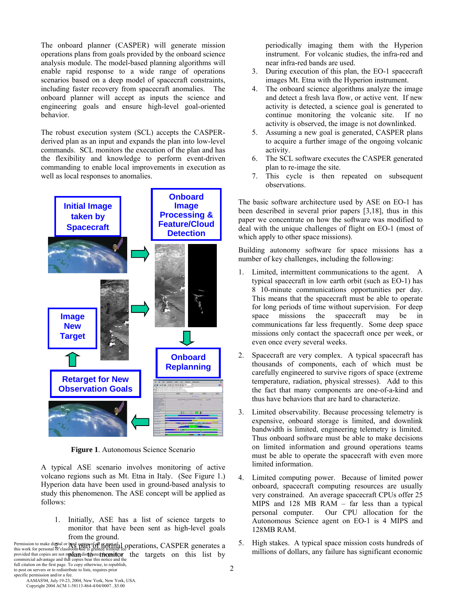The onboard planner (CASPER) will generate mission operations plans from goals provided by the onboard science analysis module. The model-based planning algorithms will enable rapid response to a wide range of operations scenarios based on a deep model of spacecraft constraints, including faster recovery from spacecraft anomalies. The onboard planner will accept as inputs the science and engineering goals and ensure high-level goal-oriented behavior.

The robust execution system (SCL) accepts the CASPERderived plan as an input and expands the plan into low-level commands. SCL monitors the execution of the plan and has the flexibility and knowledge to perform event-driven commanding to enable local improvements in execution as well as local responses to anomalies.



**Figure 1**. Autonomous Science Scenario

A typical ASE scenario involves monitoring of active volcano regions such as Mt. Etna in Italy. (See Figure 1.) Hyperion data have been used in ground-based analysis to study this phenomenon. The ASE concept will be applied as follows:

1. Initially, ASE has a list of science targets to monitor that have been sent as high-level goals from the ground.

Permission to make digital or hard capies of all or arrival a coperations,  $\emph{CASPER generates a}$  this work for personal or classroom use is granted without fee provided that copies are not mplan distrouted monutor the targets on this list by commercial advantage and that copies bear this notice and the full citation on the first page. To copy otherwise, to republish, to post on servers or to redistribute to lists, requires prior specific permission and/or a fee.

periodically imaging them with the Hyperion instrument. For volcanic studies, the infra-red and near infra-red bands are used.

- 3. During execution of this plan, the EO-1 spacecraft images Mt. Etna with the Hyperion instrument.
- 4. The onboard science algorithms analyze the image and detect a fresh lava flow, or active vent. If new activity is detected, a science goal is generated to continue monitoring the volcanic site. If no activity is observed, the image is not downlinked.
- 5. Assuming a new goal is generated, CASPER plans to acquire a further image of the ongoing volcanic activity.
- 6. The SCL software executes the CASPER generated plan to re-image the site.
- 7. This cycle is then repeated on subsequent observations.

The basic software architecture used by ASE on EO-1 has been described in several prior papers [3,18], thus in this paper we concentrate on how the software was modified to deal with the unique challenges of flight on EO-1 (most of which apply to other space missions).

Building autonomy software for space missions has a number of key challenges, including the following:

- 1. Limited, intermittent communications to the agent. A typical spacecraft in low earth orbit (such as EO-1) has 8 10-minute communications opportunities per day. This means that the spacecraft must be able to operate for long periods of time without supervision. For deep space missions the spacecraft may be in communications far less frequently. Some deep space missions only contact the spacecraft once per week, or even once every several weeks.
- 2. Spacecraft are very complex. A typical spacecraft has thousands of components, each of which must be carefully engineered to survive rigors of space (extreme temperature, radiation, physical stresses). Add to this the fact that many components are one-of-a-kind and thus have behaviors that are hard to characterize.
- 3. Limited observability. Because processing telemetry is expensive, onboard storage is limited, and downlink bandwidth is limited, engineering telemetry is limited. Thus onboard software must be able to make decisions on limited information and ground operations teams must be able to operate the spacecraft with even more limited information.
- 4. Limited computing power. Because of limited power onboard, spacecraft computing resources are usually very constrained. An average spacecraft CPUs offer 25 MIPS and 128 MB RAM – far less than a typical personal computer. Our CPU allocation for the Autonomous Science agent on EO-1 is 4 MIPS and 128MB RAM.
- 5. High stakes. A typical space mission costs hundreds of millions of dollars, any failure has significant economic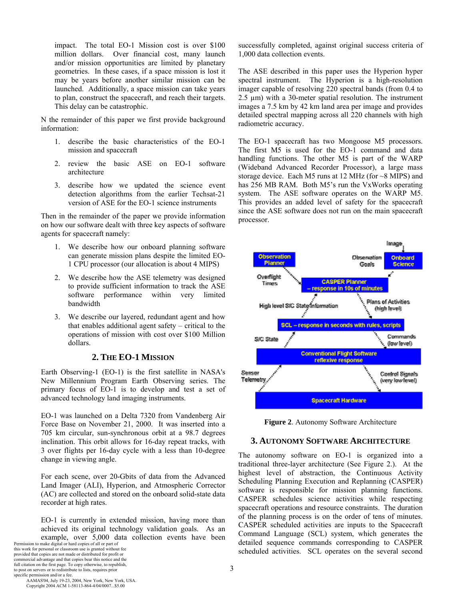impact. The total EO-1 Mission cost is over \$100 million dollars. Over financial cost, many launch and/or mission opportunities are limited by planetary geometries. In these cases, if a space mission is lost it may be years before another similar mission can be launched. Additionally, a space mission can take years to plan, construct the spacecraft, and reach their targets. This delay can be catastrophic.

N the remainder of this paper we first provide background information:

- 1. describe the basic characteristics of the EO-1 mission and spacecraft
- 2. review the basic ASE on EO-1 software architecture
- 3. describe how we updated the science event detection algorithms from the earlier Techsat-21 version of ASE for the EO-1 science instruments

Then in the remainder of the paper we provide information on how our software dealt with three key aspects of software agents for spacecraft namely:

- 1. We describe how our onboard planning software can generate mission plans despite the limited EO-1 CPU processor (our allocation is about 4 MIPS)
- 2. We describe how the ASE telemetry was designed to provide sufficient information to track the ASE software performance within very limited bandwidth
- 3. We describe our layered, redundant agent and how that enables additional agent safety – critical to the operations of mission with cost over \$100 Million dollars.

#### **2. THE EO-1 MISSION**

Earth Observing-1 (EO-1) is the first satellite in NASA's New Millennium Program Earth Observing series. The primary focus of EO-1 is to develop and test a set of advanced technology land imaging instruments.

EO-1 was launched on a Delta 7320 from Vandenberg Air Force Base on November 21, 2000. It was inserted into a 705 km circular, sun-synchronous orbit at a 98.7 degrees inclination. This orbit allows for 16-day repeat tracks, with 3 over flights per 16-day cycle with a less than 10-degree change in viewing angle.

For each scene, over 20-Gbits of data from the Advanced Land Imager (ALI), Hyperion, and Atmospheric Corrector (AC) are collected and stored on the onboard solid-state data recorder at high rates.

EO-1 is currently in extended mission, having more than achieved its original technology validation goals. As an example, over 5,000 data collection events have been

Permission to make digital or hard copies of all or part of this work for personal or classroom use is granted without fee provided that copies are not made or distributed for profit or commercial advantage and that copies bear this notice and the full citation on the first page. To copy otherwise, to republish, to post on servers or to redistribute to lists, requires prior specific permission and/or a fee.

successfully completed, against original success criteria of 1,000 data collection events.

The ASE described in this paper uses the Hyperion hyper spectral instrument. The Hyperion is a high-resolution imager capable of resolving 220 spectral bands (from 0.4 to 2.5 µm) with a 30-meter spatial resolution. The instrument images a 7.5 km by 42 km land area per image and provides detailed spectral mapping across all 220 channels with high radiometric accuracy.

The EO-1 spacecraft has two Mongoose M5 processors. The first M5 is used for the EO-1 command and data handling functions. The other M5 is part of the WARP (Wideband Advanced Recorder Processor), a large mass storage device. Each M5 runs at 12 MHz (for ~8 MIPS) and has 256 MB RAM. Both M5's run the VxWorks operating system. The ASE software operates on the WARP M5. This provides an added level of safety for the spacecraft since the ASE software does not run on the main spacecraft processor.



**Figure 2**. Autonomy Software Architecture

#### **3. AUTONOMY SOFTWARE ARCHITECTURE**

The autonomy software on EO-1 is organized into a traditional three-layer architecture (See Figure 2.). At the highest level of abstraction, the Continuous Activity Scheduling Planning Execution and Replanning (CASPER) software is responsible for mission planning functions. CASPER schedules science activities while respecting spacecraft operations and resource constraints. The duration of the planning process is on the order of tens of minutes. CASPER scheduled activities are inputs to the Spacecraft Command Language (SCL) system, which generates the detailed sequence commands corresponding to CASPER scheduled activities. SCL operates on the several second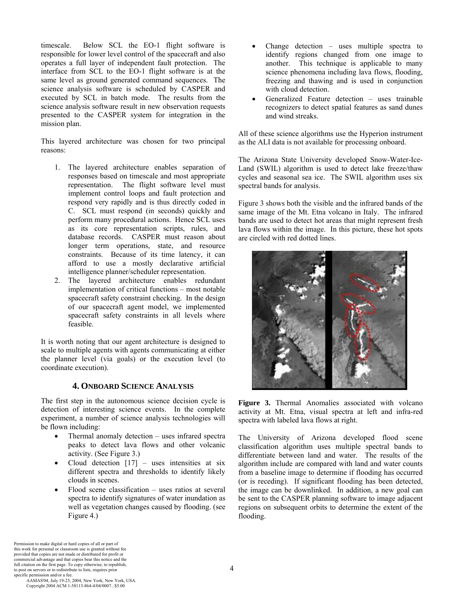timescale. Below SCL the EO-1 flight software is responsible for lower level control of the spacecraft and also operates a full layer of independent fault protection. The interface from SCL to the EO-1 flight software is at the same level as ground generated command sequences. The science analysis software is scheduled by CASPER and executed by SCL in batch mode. The results from the science analysis software result in new observation requests presented to the CASPER system for integration in the mission plan.

This layered architecture was chosen for two principal reasons:

- 1. The layered architecture enables separation of responses based on timescale and most appropriate representation. The flight software level must implement control loops and fault protection and respond very rapidly and is thus directly coded in C. SCL must respond (in seconds) quickly and perform many procedural actions. Hence SCL uses as its core representation scripts, rules, and database records. CASPER must reason about longer term operations, state, and resource constraints. Because of its time latency, it can afford to use a mostly declarative artificial intelligence planner/scheduler representation.
- 2. The layered architecture enables redundant implementation of critical functions – most notable spacecraft safety constraint checking. In the design of our spacecraft agent model, we implemented spacecraft safety constraints in all levels where feasible.

It is worth noting that our agent architecture is designed to scale to multiple agents with agents communicating at either the planner level (via goals) or the execution level (to coordinate execution).

#### **4. ONBOARD SCIENCE ANALYSIS**

The first step in the autonomous science decision cycle is detection of interesting science events. In the complete experiment, a number of science analysis technologies will be flown including:

- Thermal anomaly detection uses infrared spectra peaks to detect lava flows and other volcanic activity. (See Figure 3.)
- Cloud detection  $[17]$  uses intensities at six different spectra and thresholds to identify likely clouds in scenes.
- $Flood$  scene classification uses ratios at several spectra to identify signatures of water inundation as well as vegetation changes caused by flooding. (see Figure 4.)
- Change detection  $-$  uses multiple spectra to identify regions changed from one image to another. This technique is applicable to many science phenomena including lava flows, flooding, freezing and thawing and is used in conjunction with cloud detection.
- Generalized Feature detection uses trainable recognizers to detect spatial features as sand dunes and wind streaks.

All of these science algorithms use the Hyperion instrument as the ALI data is not available for processing onboard.

The Arizona State University developed Snow-Water-Ice-Land (SWIL) algorithm is used to detect lake freeze/thaw cycles and seasonal sea ice. The SWIL algorithm uses six spectral bands for analysis.

Figure 3 shows both the visible and the infrared bands of the same image of the Mt. Etna volcano in Italy. The infrared bands are used to detect hot areas that might represent fresh lava flows within the image. In this picture, these hot spots are circled with red dotted lines.



**Figure 3.** Thermal Anomalies associated with volcano activity at Mt. Etna, visual spectra at left and infra-red spectra with labeled lava flows at right.

The University of Arizona developed flood scene classification algorithm uses multiple spectral bands to differentiate between land and water. The results of the algorithm include are compared with land and water counts from a baseline image to determine if flooding has occurred (or is receding). If significant flooding has been detected, the image can be downlinked. In addition, a new goal can be sent to the CASPER planning software to image adjacent regions on subsequent orbits to determine the extent of the flooding.

Permission to make digital or hard copies of all or part of this work for personal or classroom use is granted without fee provided that copies are not made or distributed for profit or commercial advantage and that copies bear this notice and the full citation on the first page. To copy otherwise, to republish, to post on servers or to redistribute to lists, requires prior specific permission and/or a fee.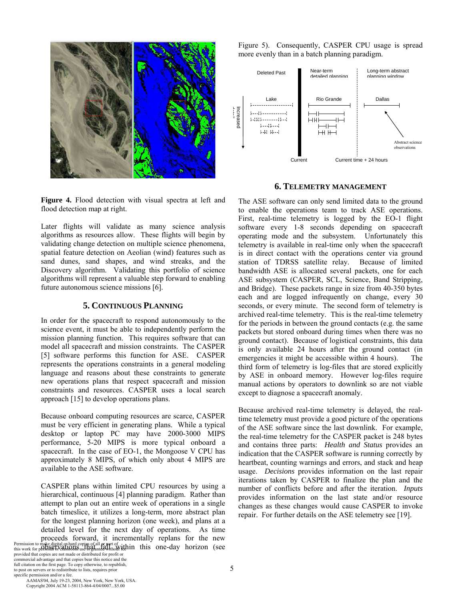

**Figure 4.** Flood detection with visual spectra at left and flood detection map at right.

Later flights will validate as many science analysis algorithms as resources allow. These flights will begin by validating change detection on multiple science phenomena, spatial feature detection on Aeolian (wind) features such as sand dunes, sand shapes, and wind streaks, and the Discovery algorithm. Validating this portfolio of science algorithms will represent a valuable step forward to enabling future autonomous science missions [6].

#### **5. CONTINUOUS PLANNING**

In order for the spacecraft to respond autonomously to the science event, it must be able to independently perform the mission planning function. This requires software that can model all spacecraft and mission constraints. The CASPER [5] software performs this function for ASE. CASPER represents the operations constraints in a general modeling language and reasons about these constraints to generate new operations plans that respect spacecraft and mission constraints and resources. CASPER uses a local search approach [15] to develop operations plans.

Because onboard computing resources are scarce, CASPER must be very efficient in generating plans. While a typical desktop or laptop PC may have 2000-3000 MIPS performance, 5-20 MIPS is more typical onboard a spacecraft. In the case of EO-1, the Mongoose V CPU has approximately 8 MIPS, of which only about 4 MIPS are available to the ASE software.

CASPER plans within limited CPU resources by using a hierarchical, continuous [4] planning paradigm. Rather than attempt to plan out an entire week of operations in a single batch timeslice, it utilizes a long-term, more abstract plan for the longest planning horizon (one week), and plans at a detailed level for the next day of operations. As time proceeds forward, it incrementally replans for the new Permission to make digital or hard copies of all or part of **itchin this one-day horizon** (see this work for personal states one-day horizon (see Figure 5). Consequently, CASPER CPU usage is spread more evenly than in a batch planning paradigm.



#### **6. TELEMETRY MANAGEMENT**

The ASE software can only send limited data to the ground to enable the operations team to track ASE operations. First, real-time telemetry is logged by the EO-1 flight software every 1-8 seconds depending on spacecraft operating mode and the subsystem. Unfortunately this telemetry is available in real-time only when the spacecraft is in direct contact with the operations center via ground station of TDRSS satellite relay. Because of limited bandwidth ASE is allocated several packets, one for each ASE subsystem (CASPER, SCL, Science, Band Stripping, and Bridge). These packets range in size from 40-350 bytes each and are logged infrequently on change, every 30 seconds, or every minute. The second form of telemetry is archived real-time telemetry. This is the real-time telemetry for the periods in between the ground contacts (e.g. the same packets but stored onboard during times when there was no ground contact). Because of logistical constraints, this data is only available 24 hours after the ground contact (in emergencies it might be accessible within 4 hours). The third form of telemetry is log-files that are stored explicitly by ASE in onboard memory. However log-files require manual actions by operators to downlink so are not viable except to diagnose a spacecraft anomaly.

Because archived real-time telemetry is delayed, the realtime telemetry must provide a good picture of the operations of the ASE software since the last downlink. For example, the real-time telemetry for the CASPER packet is 248 bytes and contains three parts: *Health and Status* provides an indication that the CASPER software is running correctly by heartbeat, counting warnings and errors, and stack and heap usage. *Decisions* provides information on the last repair iterations taken by CASPER to finalize the plan and the number of conflicts before and after the iteration. *Inputs* provides information on the last state and/or resource changes as these changes would cause CASPER to invoke repair. For further details on the ASE telemetry see [19].

provided that copies are not made or distributed for profit or commercial advantage and that copies bear this notice and the full citation on the first page. To copy otherwise, to republish, to post on servers or to redistribute to lists, requires prior

specific permission and/or a fee. AAMAS'04, July 19-23, 2004, New York, New York, USA. Copyright 2004 ACM 1-58113-864-4/04/0007...\$5.00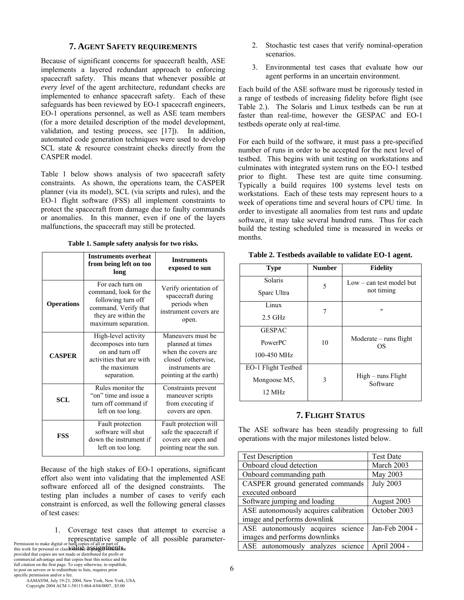## **7. AGENT SAFETY REQUIREMENTS**

Because of significant concerns for spacecraft health, ASE implements a layered redundant approach to enforcing spacecraft safety. This means that whenever possible *at every level* of the agent architecture, redundant checks are implemented to enhance spacecraft safety. Each of these safeguards has been reviewed by EO-1 spacecraft engineers, EO-1 operations personnel, as well as ASE team members (for a more detailed description of the model development, validation, and testing process, see [17]). In addition, automated code generation techniques were used to develop SCL state & resource constraint checks directly from the CASPER model.

Table 1 below shows analysis of two spacecraft safety constraints. As shown, the operations team, the CASPER planner (via its model), SCL (via scripts and rules), and the EO-1 flight software (FSS) all implement constraints to protect the spacecraft from damage due to faulty commands or anomalies. In this manner, even if one of the layers malfunctions, the spacecraft may still be protected.

|  | Table 1. Sample safety analysis for two risks. |  |  |  |
|--|------------------------------------------------|--|--|--|
|--|------------------------------------------------|--|--|--|

|                   | <b>Instruments overheat</b><br>from being left on too<br>long                                                                         | <b>Instruments</b><br>exposed to sun                                                                                            |
|-------------------|---------------------------------------------------------------------------------------------------------------------------------------|---------------------------------------------------------------------------------------------------------------------------------|
| <b>Operations</b> | For each turn on<br>command, look for the<br>following turn off<br>command. Verify that<br>they are within the<br>maximum separation. | Verify orientation of<br>spacecraft during<br>periods when<br>instrument covers are<br>open.                                    |
| <b>CASPER</b>     | High-level activity<br>decomposes into turn<br>on and turn off<br>activities that are with<br>the maximum<br>separation.              | Maneuvers must be<br>planned at times<br>when the covers are<br>closed (otherwise,<br>instruments are<br>pointing at the earth) |
| <b>SCL</b>        | Rules monitor the<br>"on" time and issue a<br>turn off command if<br>left on too long.                                                | Constraints prevent<br>maneuver scripts<br>from executing if<br>covers are open.                                                |
| <b>FSS</b>        | Fault protection<br>software will shut<br>down the instrument if<br>left on too long.                                                 | Fault protection will<br>safe the spacecraft if<br>covers are open and<br>pointing near the sun.                                |

provided that copies are not made or distributed for profit or commercial advantage and that copies bear this notice and the full citation on the first page. To copy otherwise, to republish, to post on servers or to redistribute to lists, requires prior specific permission and/or a fee.

 AAMAS'04, July 19-23, 2004, New York, New York, USA. Copyright 2004 ACM 1-58113-864-4/04/0007...\$5.00

- 2. Stochastic test cases that verify nominal-operation scenarios.
- 3. Environmental test cases that evaluate how our agent performs in an uncertain environment.

Each build of the ASE software must be rigorously tested in a range of testbeds of increasing fidelity before flight (see Table 2.). The Solaris and Linux testbeds can be run at faster than real-time, however the GESPAC and EO-1 testbeds operate only at real-time.

For each build of the software, it must pass a pre-specified number of runs in order to be accepted for the next level of testbed. This begins with unit testing on workstations and culminates with integrated system runs on the EO-1 testbed prior to flight. These test are quite time consuming. Typically a build requires 100 systems level tests on workstations. Each of these tests may represent hours to a week of operations time and several hours of CPU time. In order to investigate all anomalies from test runs and update software, it may take several hundred runs. Thus for each build the testing scheduled time is measured in weeks or months.

| <b>Type</b>         | <b>Number</b> | <b>Fidelity</b>                  |
|---------------------|---------------|----------------------------------|
| Solaris             | 5             | $Low - can test model but$       |
| Sparc Ultra         |               | not timing                       |
| Linux               | 7             | $^{\prime\prime}$                |
| $2.5$ GHz           |               |                                  |
| <b>GESPAC</b>       |               |                                  |
| PowerPC             | 10            | $Modernite - runs flight$<br>OS  |
| 100-450 MHz         |               |                                  |
| EO-1 Flight Testbed |               |                                  |
| Mongoose M5,        | 3             | $High - runs Flight$<br>Software |
| $12 \text{ MHz}$    |               |                                  |

**Table 2. Testbeds available to validate EO-1 agent.** 

## **7. FLIGHT STATUS**

The ASE software has been steadily progressing to full operations with the major milestones listed below.

|                                                                                     | <b>Test Description</b>               | <b>Test Date</b> |
|-------------------------------------------------------------------------------------|---------------------------------------|------------------|
| Because of the high stakes of EO-1 operations, significant                          | Onboard cloud detection               | March 2003       |
| effort also went into validating that the implemented ASE                           | Onboard commanding path               | May 2003         |
| software enforced all of the designed constraints.<br>The                           | CASPER ground generated commands      | <b>July 2003</b> |
| testing plan includes a number of cases to verify each                              | executed onboard                      |                  |
| constraint is enforced, as well the following general classes                       | Software jumping and loading          | August 2003      |
| of test cases:                                                                      | ASE autonomously acquires calibration | October 2003     |
|                                                                                     | image and performs downlink           |                  |
| Coverage test cases that attempt to exercise a                                      | ASE autonomously acquires science     | Jan-Feb 2004 -   |
| Permission to make digital or hard copies of all or part of all possible parameter- | images and performs downlinks         |                  |
| this work for personal or classicallice as Salgen mention                           | ASE autonomously analyzes science     | April 2004 -     |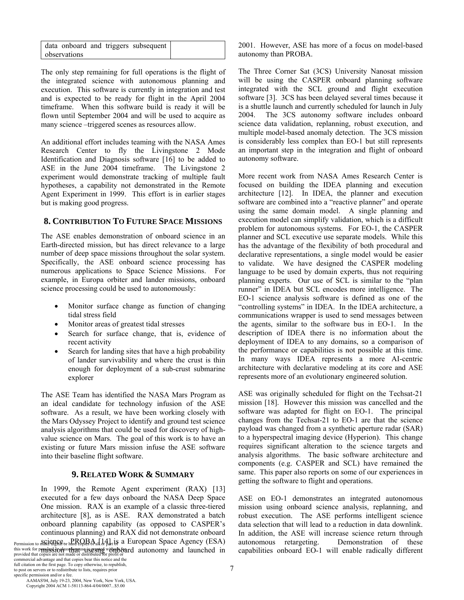|              |  | data onboard and triggers subsequent |  |
|--------------|--|--------------------------------------|--|
| observations |  |                                      |  |

The only step remaining for full operations is the flight of the integrated science with autonomous planning and execution. This software is currently in integration and test and is expected to be ready for flight in the April 2004 timeframe. When this software build is ready it will be flown until September 2004 and will be used to acquire as many science –triggered scenes as resources allow.

An additional effort includes teaming with the NASA Ames Research Center to fly the Livingstone 2 Mode Identification and Diagnosis software [16] to be added to ASE in the June 2004 timeframe. The Livingstone 2 experiment would demonstrate tracking of multiple fault hypotheses, a capability not demonstrated in the Remote Agent Experiment in 1999. This effort is in earlier stages but is making good progress.

# **8. CONTRIBUTION TO FUTURE SPACE MISSIONS**

The ASE enables demonstration of onboard science in an Earth-directed mission, but has direct relevance to a large number of deep space missions throughout the solar system. Specifically, the ASE onboard science processing has numerous applications to Space Science Missions. For example, in Europa orbiter and lander missions, onboard science processing could be used to autonomously:

- Monitor surface change as function of changing tidal stress field
- Monitor areas of greatest tidal stresses
- Search for surface change, that is, evidence of recent activity
- Search for landing sites that have a high probability of lander survivability and where the crust is thin enough for deployment of a sub-crust submarine explorer

The ASE Team has identified the NASA Mars Program as an ideal candidate for technology infusion of the ASE software. As a result, we have been working closely with the Mars Odyssey Project to identify and ground test science analysis algorithms that could be used for discovery of highvalue science on Mars. The goal of this work is to have an existing or future Mars mission infuse the ASE software into their baseline flight software.

## **9. RELATED WORK & SUMMARY**

In 1999, the Remote Agent experiment (RAX) [13] executed for a few days onboard the NASA Deep Space One mission. RAX is an example of a classic three-tiered architecture [8], as is ASE. RAX demonstrated a batch onboard planning capability (as opposed to CASPER's continuous planning) and RAX did not demonstrate onboard Permission to  $S_{\text{R}}$  ience or hard copies of all  $[4]$  is a European Space Agency (ESA) this work for perspired propass the partus a is genered with the band autonomy and launched in commercial advantage and that copies bear this notice and the full citation on the first page. To copy otherwise, to republish, to post on servers or to redistribute to lists, requires prior

2001. However, ASE has more of a focus on model-based autonomy than PROBA.

The Three Corner Sat (3CS) University Nanosat mission will be using the CASPER onboard planning software integrated with the SCL ground and flight execution software [3]. 3CS has been delayed several times because it is a shuttle launch and currently scheduled for launch in July 2004. The 3CS autonomy software includes onboard science data validation, replanning, robust execution, and multiple model-based anomaly detection. The 3CS mission is considerably less complex than EO-1 but still represents an important step in the integration and flight of onboard autonomy software.

More recent work from NASA Ames Research Center is focused on building the IDEA planning and execution architecture [12]. In IDEA, the planner and execution software are combined into a "reactive planner" and operate using the same domain model. A single planning and execution model can simplify validation, which is a difficult problem for autonomous systems. For EO-1, the CASPER planner and SCL executive use separate models. While this has the advantage of the flexibility of both procedural and declarative representations, a single model would be easier to validate. We have designed the CASPER modeling language to be used by domain experts, thus not requiring planning experts. Our use of SCL is similar to the "plan runner" in IDEA but SCL encodes more intelligence. The EO-1 science analysis software is defined as one of the "controlling systems" in IDEA. In the IDEA architecture, a communications wrapper is used to send messages between the agents, similar to the software bus in EO-1. In the description of IDEA there is no information about the deployment of IDEA to any domains, so a comparison of the performance or capabilities is not possible at this time. In many ways IDEA represents a more AI-centric architecture with declarative modeling at its core and ASE represents more of an evolutionary engineered solution.

ASE was originally scheduled for flight on the Techsat-21 mission [18]. However this mission was cancelled and the software was adapted for flight on EO-1. The principal changes from the Techsat-21 to EO-1 are that the science payload was changed from a synthetic aperture radar (SAR) to a hyperspectral imaging device (Hyperion). This change requires significant alteration to the science targets and analysis algorithms. The basic software architecture and components (e.g. CASPER and SCL) have remained the same. This paper also reports on some of our experiences in getting the software to flight and operations.

ASE on EO-1 demonstrates an integrated autonomous mission using onboard science analysis, replanning, and robust execution. The ASE performs intelligent science data selection that will lead to a reduction in data downlink. In addition, the ASE will increase science return through autonomous retargeting. Demonstration of these capabilities onboard EO-1 will enable radically different